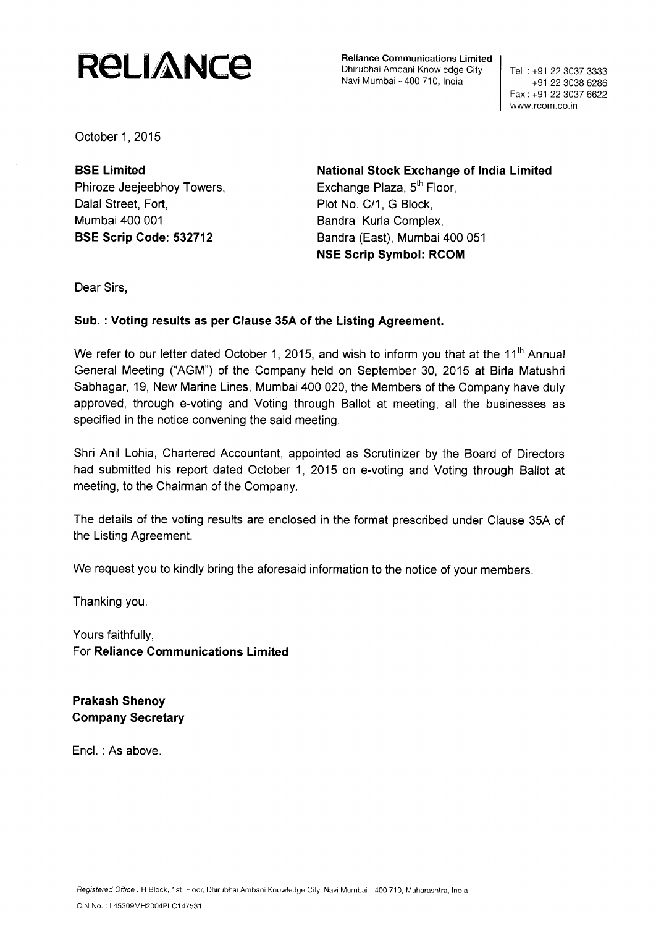# **RELIANCE**

**Reliance Communications Limited** Dhirubhai Ambani Knowledge City Navi Mumbai - 400 710, India

Tel : +91 22 3037 3333 +91 22 3038 6286 Fax : +91 22 3037 6622 www.rcom.co.in

October 1, 2015

Phiroze Jeejeebhoy Towers, Exchange Plaza, 5<sup>th</sup> Floor, Dalal Street, Fort, Plot No. C/1, G Block, Mumbai 400 001 **Bandra Kurla Complex,** 

**BSE Limited National Stock Exchange of India Limited BSE Scrip Code: 532712** Bandra (East), Mumbai 400 051 **NSE Scrip Symbol: RCOM**

Dear Sirs,

## **Sub. : Voting results as per Clause 35A of the Listing Agreement.**

We refer to our letter dated October 1, 2015, and wish to inform you that at the 11<sup>th</sup> Annual General Meeting ("AGM") of the Company held on September 30, 2015 at Birla Matushri Sabhagar, 19, New Marine Lines, Mumbai 400 020, the Members of the Company have duly approved, through e-voting and Voting through Ballot at meeting, all the businesses as specified in the notice convening the said meeting.

Shri Anil Lohia, Chartered Accountant, appointed as Scrutinizer by the Board of Directors had submitted his report dated October 1, 2015 on e-voting and Voting through **Ballot at** meeting, to the Chairman of the Company.

The details of the voting results are enclosed in the format prescribed under Clause 35A of the Listing Agreement.

We request you to kindly bring the aforesaid information to the notice of your members.

Thanking you.

Yours faithfully, **For Reliance Communications Limited**

**Prakash Shenoy Company Secretary**

Encl.: As above.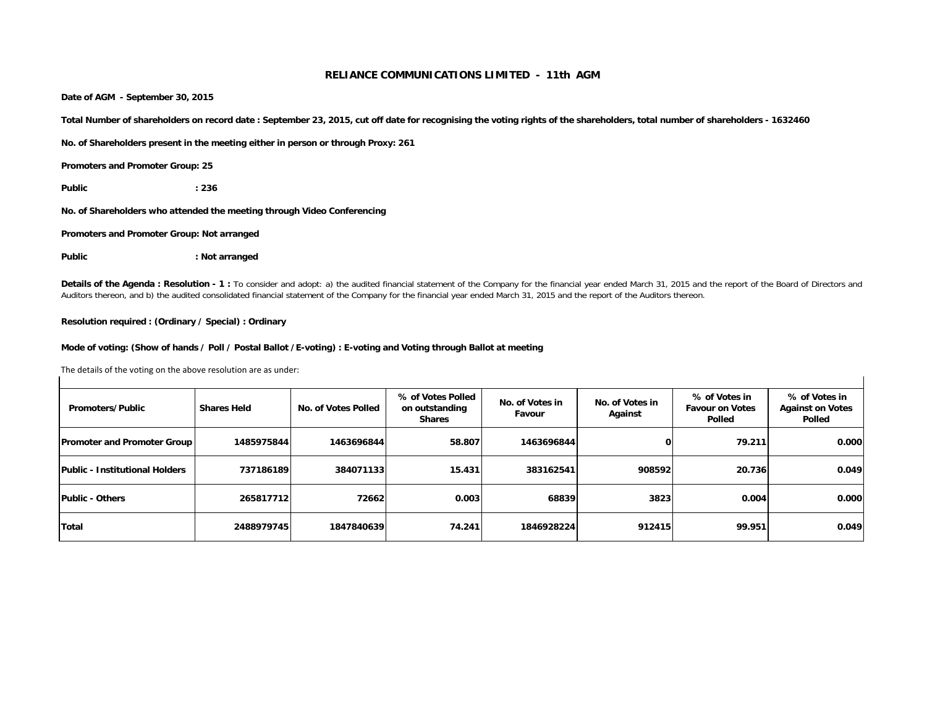**Date of AGM - September 30, 2015**

**Total Number of shareholders on record date : September 23, 2015, cut off date for recognising the voting rights of the shareholders, total number of shareholders - 1632460**

**No. of Shareholders present in the meeting either in person or through Proxy: 261**

**Promoters and Promoter Group: 25**

**Public : 236**

**No. of Shareholders who attended the meeting through Video Conferencing**

**Promoters and Promoter Group: Not arranged**

Public : Not arranged

Details of the Agenda: Resolution - 1 : To consider and adopt: a) the audited financial statement of the Company for the financial year ended March 31, 2015 and the report of the Board of Directors and Auditors thereon, and b) the audited consolidated financial statement of the Company for the financial year ended March 31, 2015 and the report of the Auditors thereon.

#### **Resolution required : (Ordinary / Special) : Ordinary**

#### **Mode of voting: (Show of hands / Poll / Postal Ballot /E-voting) : E-voting and Voting through Ballot at meeting**

| Promoters/Public                   | <b>Shares Held</b> | No. of Votes Polled | % of Votes Polled<br>on outstanding<br><b>Shares</b> | No. of Votes in<br>Favour | No. of Votes in<br>Against | % of Votes in<br><b>Favour on Votes</b><br>Polled | % of Votes in<br><b>Against on Votes</b><br>Polled |
|------------------------------------|--------------------|---------------------|------------------------------------------------------|---------------------------|----------------------------|---------------------------------------------------|----------------------------------------------------|
| <b>Promoter and Promoter Group</b> | 1485975844         | 1463696844          | 58.807                                               | 1463696844                | 0                          | 79.211                                            | 0.000                                              |
| Public - Institutional Holders     | 737186189          | 384071133           | 15.431                                               | 383162541                 | 908592                     | 20.736                                            | 0.049                                              |
| <b>Public - Others</b>             | 265817712          | 72662               | 0.003                                                | 68839                     | 3823                       | 0.004                                             | 0.000                                              |
| Total                              | 2488979745         | 1847840639          | 74.241                                               | 1846928224                | 912415                     | 99.951                                            | 0.049                                              |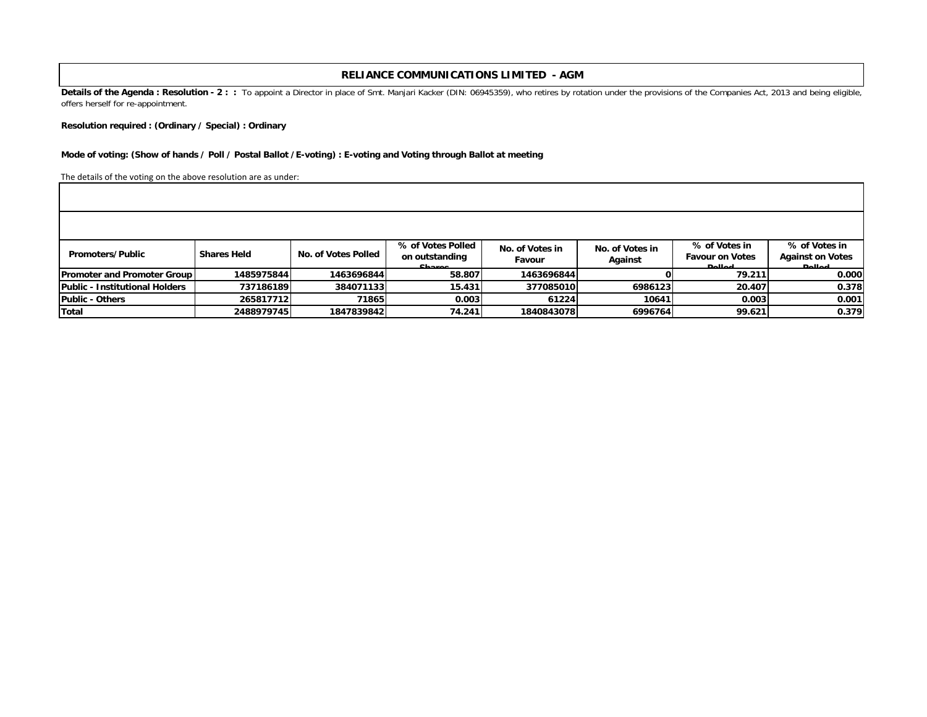Details of the Agenda: Resolution - 2 : : To appoint a Director in place of Smt. Manjari Kacker (DIN: 06945359), who retires by rotation under the provisions of the Companies Act, 2013 and being eligible, offers herself for re-appointment.

**Resolution required : (Ordinary / Special) : Ordinary**

#### **Mode of voting: (Show of hands / Poll / Postal Ballot /E-voting) : E-voting and Voting through Ballot at meeting**

| Promoters/Public                   | <b>Shares Held</b> | No. of Votes Polled | % of Votes Polled<br>on outstanding<br>Charge | No. of Votes in<br>Favour | No. of Votes in<br>Against | % of Votes in<br><b>Favour on Votes</b><br><b>Dollod</b> | % of Votes in<br><b>Against on Votes</b><br><b>Dollard</b> |
|------------------------------------|--------------------|---------------------|-----------------------------------------------|---------------------------|----------------------------|----------------------------------------------------------|------------------------------------------------------------|
| <b>Promoter and Promoter Group</b> | 1485975844         | 1463696844          | 58.807                                        | 1463696844                |                            | 79.211                                                   | 0.000                                                      |
| Public - Institutional Holders     | 737186189          | 384071133           | 15.431                                        | 377085010                 | 6986123                    | 20.407                                                   | 0.378                                                      |
| Public - Others                    | 265817712          | 71865               | 0.003                                         | 61224                     | 10641                      | 0.003                                                    | 0.001                                                      |
| Total                              | 2488979745         | 1847839842          | 74.241                                        | 1840843078                | 6996764                    | 99.621                                                   | 0.379                                                      |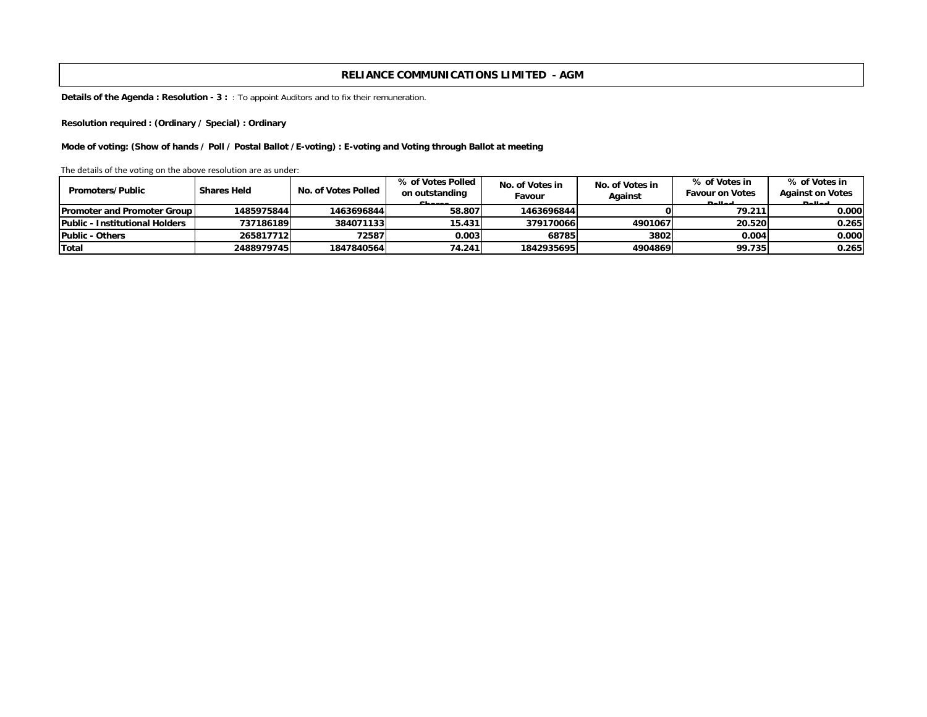**Details of the Agenda : Resolution - 3 :** : To appoint Auditors and to fix their remuneration.

**Resolution required : (Ordinary / Special) : Ordinary**

**Mode of voting: (Show of hands / Poll / Postal Ballot /E-voting) : E-voting and Voting through Ballot at meeting**

| <b>Promoters/Public</b>               | <b>Shares Held</b> | No. of Votes Polled | % of Votes Polled<br>on outstanding<br>Charge | No. of Votes in<br>Favour | No. of Votes in<br>Against | % of Votes in<br><b>Favour on Votes</b><br><b>Dollod</b> | % of Votes in<br><b>Against on Votes</b><br><b>Dollad</b> |
|---------------------------------------|--------------------|---------------------|-----------------------------------------------|---------------------------|----------------------------|----------------------------------------------------------|-----------------------------------------------------------|
| <b>IPromoter and Promoter Group I</b> | 1485975844         | 1463696844          | 58.807                                        | 1463696844                |                            | 79.211                                                   | 0.0001                                                    |
| Public - Institutional Holders        | 737186189          | 384071133           | 15.431                                        | 379170066                 | 4901067                    | 20.520                                                   | 0.265                                                     |
| Public - Others                       | 265817712          | 72587               | 0.003                                         | 68785                     | 3802                       | 0.004                                                    | 0.000                                                     |
| <b>Total</b>                          | 2488979745         | 1847840564          | 74.241                                        | 1842935695                | 4904869                    | 99.735                                                   | 0.265                                                     |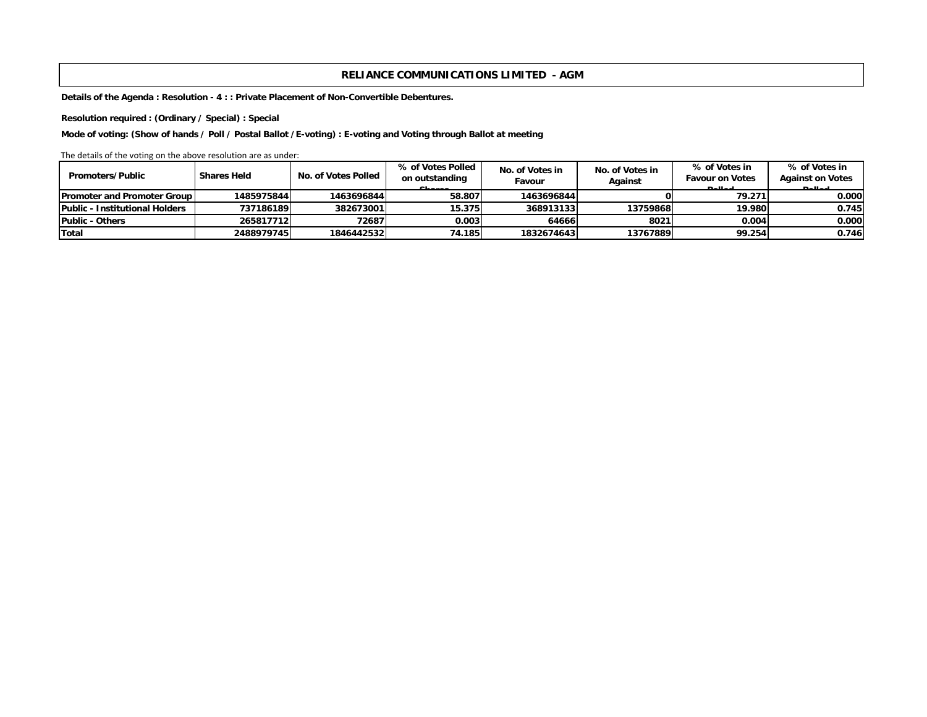**Details of the Agenda : Resolution - 4 : : Private Placement of Non-Convertible Debentures.**

**Resolution required : (Ordinary / Special) : Special** 

**Mode of voting: (Show of hands / Poll / Postal Ballot /E-voting) : E-voting and Voting through Ballot at meeting**

| <b>Promoters/Public</b>                | <b>Shares Held</b> | No. of Votes Polled | % of Votes Polled        | No. of Votes in | No. of Votes in | % of Votes in                           | % of Votes in                            |
|----------------------------------------|--------------------|---------------------|--------------------------|-----------------|-----------------|-----------------------------------------|------------------------------------------|
|                                        |                    |                     | on outstanding<br>Charge | Favour          | Against         | <b>Favour on Votes</b><br><b>Dollod</b> | <b>Against on Votes</b><br><b>Dollar</b> |
| <b>Promoter and Promoter Group</b>     | 1485975844         | 1463696844          | 58.807                   | 1463696844      |                 | 79.271                                  | 0.000                                    |
| <b>IPublic - Institutional Holders</b> | 737186189          | 382673001           | 15.375                   | 368913133       | 13759868        | 19.980                                  | 0.745                                    |
| Public - Others                        | 265817712          | 72687               | 0.003                    | 64666           | 8021            | 0.004                                   | 0.000                                    |
| Total                                  | 2488979745         | 1846442532          | 74.185                   | 1832674643      | 13767889        | 99.254                                  | 0.746                                    |